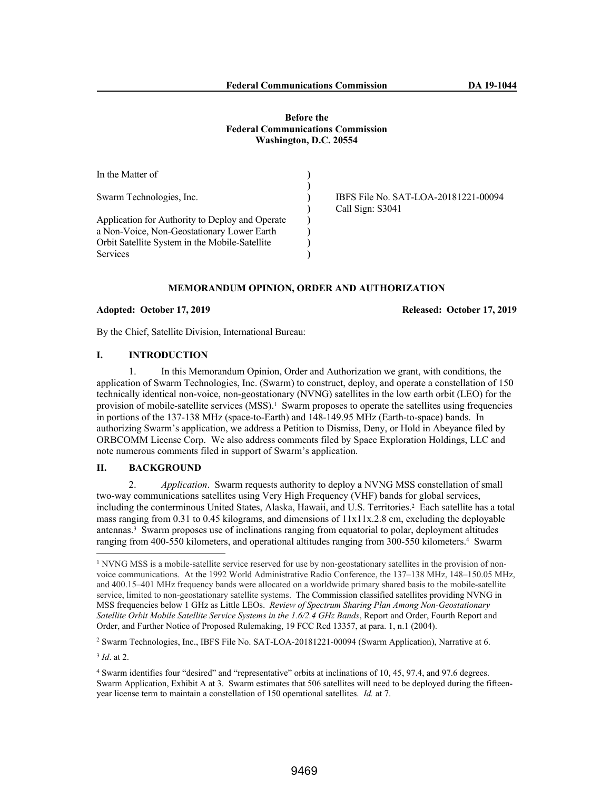### **Before the Federal Communications Commission Washington, D.C. 20554**

| In the Matter of                                |                                                          |
|-------------------------------------------------|----------------------------------------------------------|
| Swarm Technologies, Inc.                        | IBFS File No. SAT-LOA-20181221-00094<br>Call Sign: S3041 |
| Application for Authority to Deploy and Operate |                                                          |
| a Non-Voice, Non-Geostationary Lower Earth      |                                                          |
| Orbit Satellite System in the Mobile-Satellite  |                                                          |
| <b>Services</b>                                 |                                                          |

#### **MEMORANDUM OPINION, ORDER AND AUTHORIZATION**

#### **Adopted: October 17, 2019 Released: October 17, 2019**

By the Chief, Satellite Division, International Bureau:

#### **I. INTRODUCTION**

1. In this Memorandum Opinion, Order and Authorization we grant, with conditions, the application of Swarm Technologies, Inc. (Swarm) to construct, deploy, and operate a constellation of 150 technically identical non-voice, non-geostationary (NVNG) satellites in the low earth orbit (LEO) for the provision of mobile-satellite services (MSS).<sup>1</sup> Swarm proposes to operate the satellites using frequencies in portions of the 137-138 MHz (space-to-Earth) and 148-149.95 MHz (Earth-to-space) bands. In authorizing Swarm's application, we address a Petition to Dismiss, Deny, or Hold in Abeyance filed by ORBCOMM License Corp. We also address comments filed by Space Exploration Holdings, LLC and note numerous comments filed in support of Swarm's application.

## **II. BACKGROUND**

2. *Application*. Swarm requests authority to deploy a NVNG MSS constellation of small two-way communications satellites using Very High Frequency (VHF) bands for global services, including the conterminous United States, Alaska, Hawaii, and U.S. Territories.<sup>2</sup> Each satellite has a total mass ranging from 0.31 to 0.45 kilograms, and dimensions of 11x11x.2.8 cm, excluding the deployable antennas.<sup>3</sup> Swarm proposes use of inclinations ranging from equatorial to polar, deployment altitudes ranging from 400-550 kilometers, and operational altitudes ranging from 300-550 kilometers.<sup>4</sup> Swarm

3 *Id*. at 2.

<sup>&</sup>lt;sup>1</sup> NVNG MSS is a mobile-satellite service reserved for use by non-geostationary satellites in the provision of nonvoice communications. At the 1992 World Administrative Radio Conference, the 137–138 MHz, 148–150.05 MHz, and 400.15–401 MHz frequency bands were allocated on a worldwide primary shared basis to the mobile-satellite service, limited to non-geostationary satellite systems. The Commission classified satellites providing NVNG in MSS frequencies below 1 GHz as Little LEOs. *Review of Spectrum Sharing Plan Among Non-Geostationary Satellite Orbit Mobile Satellite Service Systems in the 1.6/2.4 GHz Bands*, Report and Order, Fourth Report and Order, and Further Notice of Proposed Rulemaking, 19 FCC Rcd 13357, at para. 1, n.1 (2004).

<sup>2</sup> Swarm Technologies, Inc., IBFS File No. SAT-LOA-20181221-00094 (Swarm Application), Narrative at 6.

<sup>4</sup> Swarm identifies four "desired" and "representative" orbits at inclinations of 10, 45, 97.4, and 97.6 degrees. Swarm Application, Exhibit A at 3. Swarm estimates that 506 satellites will need to be deployed during the fifteenyear license term to maintain a constellation of 150 operational satellites. *Id.* at 7.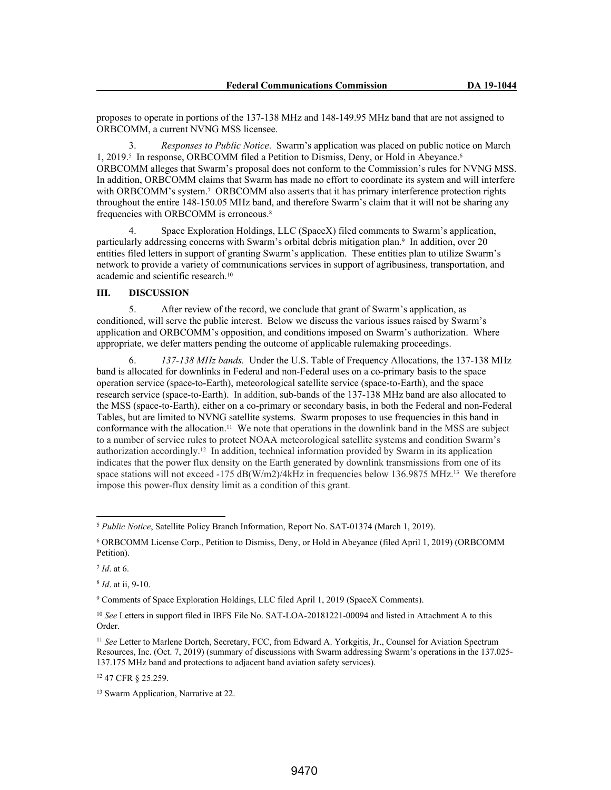proposes to operate in portions of the 137-138 MHz and 148-149.95 MHz band that are not assigned to ORBCOMM, a current NVNG MSS licensee.

3. *Responses to Public Notice*. Swarm's application was placed on public notice on March 1, 2019.<sup>5</sup> In response, ORBCOMM filed a Petition to Dismiss, Deny, or Hold in Abeyance.<sup>6</sup> ORBCOMM alleges that Swarm's proposal does not conform to the Commission's rules for NVNG MSS. In addition, ORBCOMM claims that Swarm has made no effort to coordinate its system and will interfere with ORBCOMM's system.<sup>7</sup> ORBCOMM also asserts that it has primary interference protection rights throughout the entire 148-150.05 MHz band, and therefore Swarm's claim that it will not be sharing any frequencies with ORBCOMM is erroneous.<sup>8</sup>

4. Space Exploration Holdings, LLC (SpaceX) filed comments to Swarm's application, particularly addressing concerns with Swarm's orbital debris mitigation plan.<sup>9</sup> In addition, over 20 entities filed letters in support of granting Swarm's application. These entities plan to utilize Swarm's network to provide a variety of communications services in support of agribusiness, transportation, and academic and scientific research.<sup>10</sup>

## **III. DISCUSSION**

5. After review of the record, we conclude that grant of Swarm's application, as conditioned, will serve the public interest. Below we discuss the various issues raised by Swarm's application and ORBCOMM's opposition, and conditions imposed on Swarm's authorization. Where appropriate, we defer matters pending the outcome of applicable rulemaking proceedings.

6. *137-138 MHz bands.* Under the U.S. Table of Frequency Allocations, the 137-138 MHz band is allocated for downlinks in Federal and non-Federal uses on a co-primary basis to the space operation service (space-to-Earth), meteorological satellite service (space-to-Earth), and the space research service (space-to-Earth). In addition, sub-bands of the 137-138 MHz band are also allocated to the MSS (space-to-Earth), either on a co-primary or secondary basis, in both the Federal and non-Federal Tables, but are limited to NVNG satellite systems. Swarm proposes to use frequencies in this band in conformance with the allocation.11 We note that operations in the downlink band in the MSS are subject to a number of service rules to protect NOAA meteorological satellite systems and condition Swarm's authorization accordingly.<sup>12</sup> In addition, technical information provided by Swarm in its application indicates that the power flux density on the Earth generated by downlink transmissions from one of its space stations will not exceed -175  $dB(W/m2)/4kHz$  in frequencies below 136.9875 MHz.<sup>13</sup> We therefore impose this power-flux density limit as a condition of this grant.

<sup>5</sup> *Public Notice*, Satellite Policy Branch Information, Report No. SAT-01374 (March 1, 2019).

<sup>6</sup> ORBCOMM License Corp., Petition to Dismiss, Deny, or Hold in Abeyance (filed April 1, 2019) (ORBCOMM Petition).

<sup>7</sup> *Id*. at 6.

<sup>8</sup> *Id*. at ii, 9-10.

<sup>9</sup> Comments of Space Exploration Holdings, LLC filed April 1, 2019 (SpaceX Comments).

<sup>10</sup> *See* Letters in support filed in IBFS File No. SAT-LOA-20181221-00094 and listed in Attachment A to this Order.

<sup>&</sup>lt;sup>11</sup> See Letter to Marlene Dortch, Secretary, FCC, from Edward A. Yorkgitis, Jr., Counsel for Aviation Spectrum Resources, Inc. (Oct. 7, 2019) (summary of discussions with Swarm addressing Swarm's operations in the 137.025- 137.175 MHz band and protections to adjacent band aviation safety services).

<sup>12</sup> 47 CFR § 25.259.

<sup>13</sup> Swarm Application, Narrative at 22.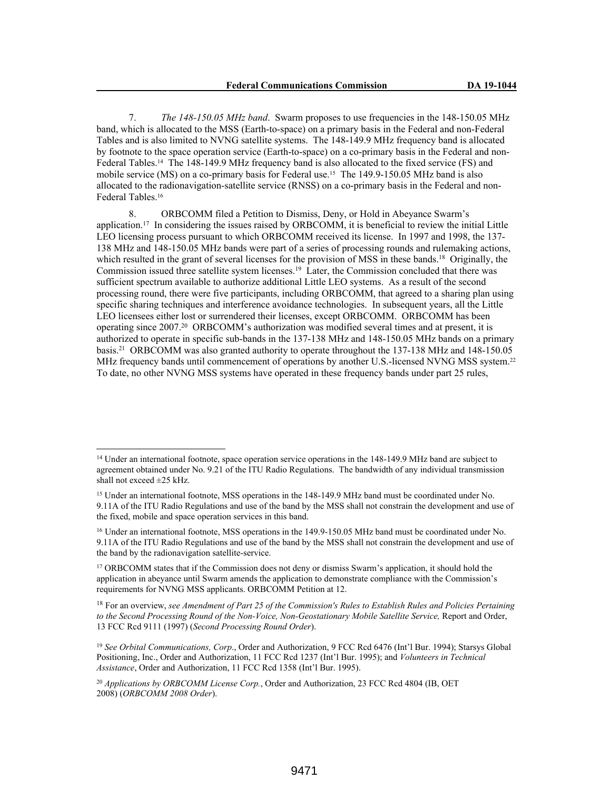7. *The 148-150.05 MHz band*. Swarm proposes to use frequencies in the 148-150.05 MHz band, which is allocated to the MSS (Earth-to-space) on a primary basis in the Federal and non-Federal Tables and is also limited to NVNG satellite systems. The 148-149.9 MHz frequency band is allocated by footnote to the space operation service (Earth-to-space) on a co-primary basis in the Federal and non-Federal Tables.14 The 148-149.9 MHz frequency band is also allocated to the fixed service (FS) and mobile service (MS) on a co-primary basis for Federal use.<sup>15</sup> The 149.9-150.05 MHz band is also allocated to the radionavigation-satellite service (RNSS) on a co-primary basis in the Federal and non-Federal Tables.<sup>16</sup>

8. ORBCOMM filed a Petition to Dismiss, Deny, or Hold in Abeyance Swarm's application.<sup>17</sup> In considering the issues raised by ORBCOMM, it is beneficial to review the initial Little LEO licensing process pursuant to which ORBCOMM received its license. In 1997 and 1998, the 137- 138 MHz and 148-150.05 MHz bands were part of a series of processing rounds and rulemaking actions, which resulted in the grant of several licenses for the provision of MSS in these bands.<sup>18</sup> Originally, the Commission issued three satellite system licenses.<sup>19</sup> Later, the Commission concluded that there was sufficient spectrum available to authorize additional Little LEO systems. As a result of the second processing round, there were five participants, including ORBCOMM, that agreed to a sharing plan using specific sharing techniques and interference avoidance technologies. In subsequent years, all the Little LEO licensees either lost or surrendered their licenses, except ORBCOMM. ORBCOMM has been operating since 2007.<sup>20</sup> ORBCOMM's authorization was modified several times and at present, it is authorized to operate in specific sub-bands in the 137-138 MHz and 148-150.05 MHz bands on a primary basis.<sup>21</sup> ORBCOMM was also granted authority to operate throughout the 137-138 MHz and 148-150.05 MHz frequency bands until commencement of operations by another U.S.-licensed NVNG MSS system.<sup>22</sup> To date, no other NVNG MSS systems have operated in these frequency bands under part 25 rules,

<sup>&</sup>lt;sup>14</sup> Under an international footnote, space operation service operations in the 148-149.9 MHz band are subject to agreement obtained under No. 9.21 of the ITU Radio Regulations. The bandwidth of any individual transmission shall not exceed  $\pm 25$  kHz.

<sup>15</sup> Under an international footnote, MSS operations in the 148-149.9 MHz band must be coordinated under No. 9.11A of the ITU Radio Regulations and use of the band by the MSS shall not constrain the development and use of the fixed, mobile and space operation services in this band.

<sup>16</sup> Under an international footnote, MSS operations in the 149.9-150.05 MHz band must be coordinated under No. 9.11A of the ITU Radio Regulations and use of the band by the MSS shall not constrain the development and use of the band by the radionavigation satellite-service.

<sup>17</sup> ORBCOMM states that if the Commission does not deny or dismiss Swarm's application, it should hold the application in abeyance until Swarm amends the application to demonstrate compliance with the Commission's requirements for NVNG MSS applicants. ORBCOMM Petition at 12.

<sup>18</sup> For an overview, *see Amendment of Part 25 of the Commission's Rules to Establish Rules and Policies Pertaining to the Second Processing Round of the Non-Voice, Non-Geostationary Mobile Satellite Service,* Report and Order, 13 FCC Rcd 9111 (1997) (*Second Processing Round Order*).

<sup>19</sup> *See Orbital Communications, Corp*., Order and Authorization, 9 FCC Rcd 6476 (Int'l Bur. 1994); Starsys Global Positioning, Inc., Order and Authorization, 11 FCC Rcd 1237 (Int'l Bur. 1995); and *Volunteers in Technical Assistance*, Order and Authorization, 11 FCC Rcd 1358 (Int'l Bur. 1995).

<sup>20</sup> *Applications by ORBCOMM License Corp.*, Order and Authorization, 23 FCC Rcd 4804 (IB, OET 2008) (*ORBCOMM 2008 Order*).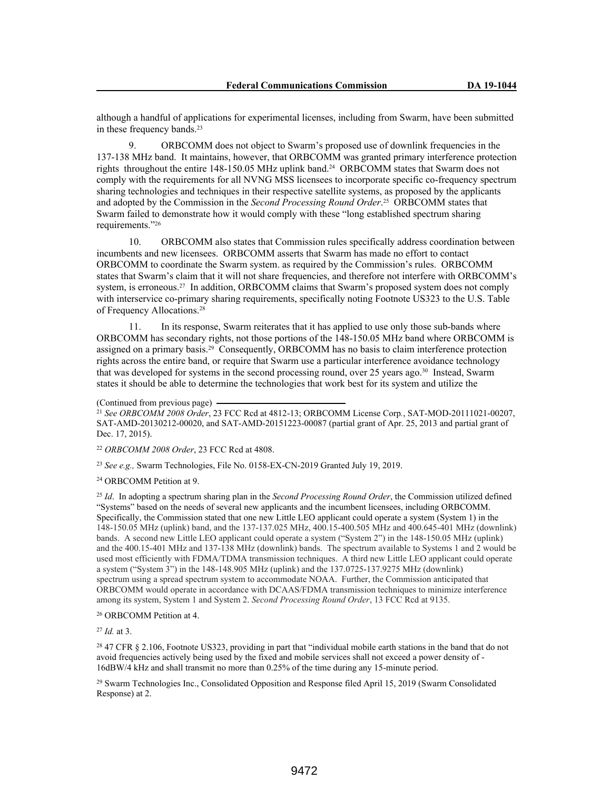although a handful of applications for experimental licenses, including from Swarm, have been submitted in these frequency bands.<sup>23</sup>

ORBCOMM does not object to Swarm's proposed use of downlink frequencies in the 137-138 MHz band. It maintains, however, that ORBCOMM was granted primary interference protection rights throughout the entire 148-150.05 MHz uplink band.24 ORBCOMM states that Swarm does not comply with the requirements for all NVNG MSS licensees to incorporate specific co-frequency spectrum sharing technologies and techniques in their respective satellite systems, as proposed by the applicants and adopted by the Commission in the *Second Processing Round Order*. <sup>25</sup> ORBCOMM states that Swarm failed to demonstrate how it would comply with these "long established spectrum sharing requirements."<sup>26</sup>

10. ORBCOMM also states that Commission rules specifically address coordination between incumbents and new licensees. ORBCOMM asserts that Swarm has made no effort to contact ORBCOMM to coordinate the Swarm system. as required by the Commission's rules. ORBCOMM states that Swarm's claim that it will not share frequencies, and therefore not interfere with ORBCOMM's system, is erroneous.<sup>27</sup> In addition, ORBCOMM claims that Swarm's proposed system does not comply with interservice co-primary sharing requirements, specifically noting Footnote US323 to the U.S. Table of Frequency Allocations.<sup>28</sup>

11. In its response, Swarm reiterates that it has applied to use only those sub-bands where ORBCOMM has secondary rights, not those portions of the 148-150.05 MHz band where ORBCOMM is assigned on a primary basis.29 Consequently, ORBCOMM has no basis to claim interference protection rights across the entire band, or require that Swarm use a particular interference avoidance technology that was developed for systems in the second processing round, over 25 years ago.30 Instead, Swarm states it should be able to determine the technologies that work best for its system and utilize the

(Continued from previous page)

<sup>21</sup> *See ORBCOMM 2008 Order*, 23 FCC Rcd at 4812-13; ORBCOMM License Corp*.*, SAT-MOD-20111021-00207, SAT-AMD-20130212-00020, and SAT-AMD-20151223-00087 (partial grant of Apr. 25, 2013 and partial grant of Dec. 17, 2015).

<sup>22</sup> *ORBCOMM 2008 Order*, 23 FCC Rcd at 4808.

<sup>23</sup> *See e.g.,* Swarm Technologies, File No. 0158-EX-CN-2019 Granted July 19, 2019.

<sup>24</sup> ORBCOMM Petition at 9.

<sup>25</sup> *Id*. In adopting a spectrum sharing plan in the *Second Processing Round Order*, the Commission utilized defined "Systems" based on the needs of several new applicants and the incumbent licensees, including ORBCOMM. Specifically, the Commission stated that one new Little LEO applicant could operate a system (System 1) in the 148-150.05 MHz (uplink) band, and the 137-137.025 MHz, 400.15-400.505 MHz and 400.645-401 MHz (downlink) bands. A second new Little LEO applicant could operate a system ("System 2") in the 148-150.05 MHz (uplink) and the 400.15-401 MHz and 137-138 MHz (downlink) bands. The spectrum available to Systems 1 and 2 would be used most efficiently with FDMA/TDMA transmission techniques. A third new Little LEO applicant could operate a system ("System 3") in the 148-148.905 MHz (uplink) and the 137.0725-137.9275 MHz (downlink) spectrum using a spread spectrum system to accommodate NOAA. Further, the Commission anticipated that ORBCOMM would operate in accordance with DCAAS/FDMA transmission techniques to minimize interference among its system, System 1 and System 2. *Second Processing Round Order*, 13 FCC Rcd at 9135.

### <sup>26</sup> ORBCOMM Petition at 4.

<sup>27</sup> *Id.* at 3.

<sup>28</sup> 47 CFR § 2.106, Footnote US323, providing in part that "individual mobile earth stations in the band that do not avoid frequencies actively being used by the fixed and mobile services shall not exceed a power density of - 16dBW/4 kHz and shall transmit no more than 0.25% of the time during any 15-minute period.

<sup>29</sup> Swarm Technologies Inc., Consolidated Opposition and Response filed April 15, 2019 (Swarm Consolidated Response) at 2.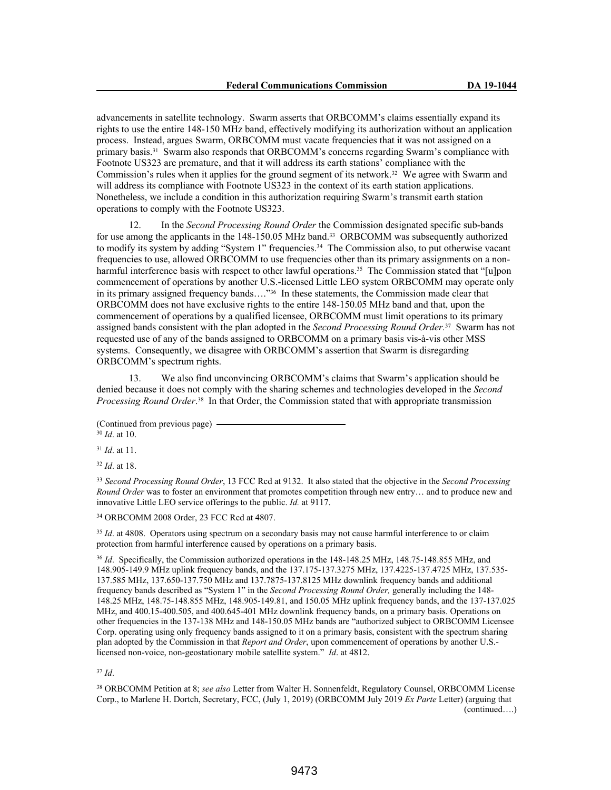advancements in satellite technology. Swarm asserts that ORBCOMM's claims essentially expand its rights to use the entire 148-150 MHz band, effectively modifying its authorization without an application process. Instead, argues Swarm, ORBCOMM must vacate frequencies that it was not assigned on a primary basis.31 Swarm also responds that ORBCOMM's concerns regarding Swarm's compliance with Footnote US323 are premature, and that it will address its earth stations' compliance with the Commission's rules when it applies for the ground segment of its network.32 We agree with Swarm and will address its compliance with Footnote US323 in the context of its earth station applications. Nonetheless, we include a condition in this authorization requiring Swarm's transmit earth station operations to comply with the Footnote US323.

12. In the *Second Processing Round Order* the Commission designated specific sub-bands for use among the applicants in the 148-150.05 MHz band.33 ORBCOMM was subsequently authorized to modify its system by adding "System 1" frequencies.<sup>34</sup> The Commission also, to put otherwise vacant frequencies to use, allowed ORBCOMM to use frequencies other than its primary assignments on a nonharmful interference basis with respect to other lawful operations.<sup>35</sup> The Commission stated that "[u]pon commencement of operations by another U.S.-licensed Little LEO system ORBCOMM may operate only in its primary assigned frequency bands…."36 In these statements, the Commission made clear that ORBCOMM does not have exclusive rights to the entire 148-150.05 MHz band and that, upon the commencement of operations by a qualified licensee, ORBCOMM must limit operations to its primary assigned bands consistent with the plan adopted in the *Second Processing Round Order.*37 Swarm has not requested use of any of the bands assigned to ORBCOMM on a primary basis vis-à-vis other MSS systems. Consequently, we disagree with ORBCOMM's assertion that Swarm is disregarding ORBCOMM's spectrum rights.

13. We also find unconvincing ORBCOMM's claims that Swarm's application should be denied because it does not comply with the sharing schemes and technologies developed in the *Second Processing Round Order*. <sup>38</sup> In that Order, the Commission stated that with appropriate transmission

<sup>30</sup> *Id*. at 10. <sup>31</sup> *Id*. at 11.

<sup>32</sup> *Id*. at 18.

<sup>33</sup> *Second Processing Round Order*, 13 FCC Rcd at 9132. It also stated that the objective in the *Second Processing Round Order* was to foster an environment that promotes competition through new entry… and to produce new and innovative Little LEO service offerings to the public. *Id.* at 9117.

<sup>34</sup> ORBCOMM 2008 Order, 23 FCC Rcd at 4807.

<sup>35</sup> *Id.* at 4808. Operators using spectrum on a secondary basis may not cause harmful interference to or claim protection from harmful interference caused by operations on a primary basis.

<sup>36</sup> *Id*. Specifically, the Commission authorized operations in the 148-148.25 MHz, 148.75-148.855 MHz, and 148.905-149.9 MHz uplink frequency bands, and the 137.175-137.3275 MHz, 137.4225-137.4725 MHz, 137.535- 137.585 MHz, 137.650-137.750 MHz and 137.7875-137.8125 MHz downlink frequency bands and additional frequency bands described as "System 1" in the *Second Processing Round Order,* generally including the 148- 148.25 MHz, 148.75-148.855 MHz, 148.905-149.81, and 150.05 MHz uplink frequency bands, and the 137-137.025 MHz, and 400.15-400.505, and 400.645-401 MHz downlink frequency bands, on a primary basis. Operations on other frequencies in the 137-138 MHz and 148-150.05 MHz bands are "authorized subject to ORBCOMM Licensee Corp. operating using only frequency bands assigned to it on a primary basis, consistent with the spectrum sharing plan adopted by the Commission in that *Report and Order*, upon commencement of operations by another U.S. licensed non-voice, non-geostationary mobile satellite system." *Id*. at 4812.

<sup>37</sup> *Id*.

<sup>38</sup> ORBCOMM Petition at 8; *see also* Letter from Walter H. Sonnenfeldt, Regulatory Counsel, ORBCOMM License Corp., to Marlene H. Dortch, Secretary, FCC, (July 1, 2019) (ORBCOMM July 2019 *Ex Parte* Letter) (arguing that (continued….)

<sup>(</sup>Continued from previous page)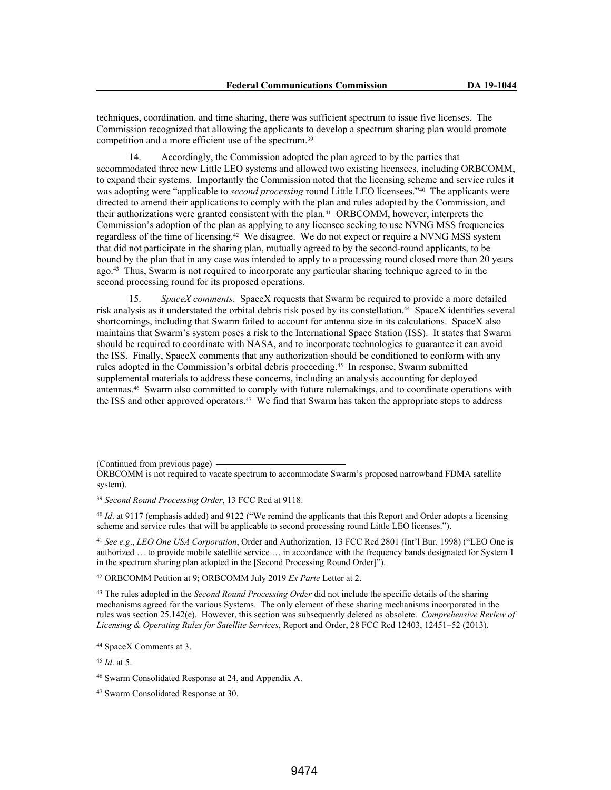techniques, coordination, and time sharing, there was sufficient spectrum to issue five licenses. The Commission recognized that allowing the applicants to develop a spectrum sharing plan would promote competition and a more efficient use of the spectrum.<sup>39</sup>

14. Accordingly, the Commission adopted the plan agreed to by the parties that accommodated three new Little LEO systems and allowed two existing licensees, including ORBCOMM, to expand their systems. Importantly the Commission noted that the licensing scheme and service rules it was adopting were "applicable to *second processing* round Little LEO licensees."<sup>40</sup> The applicants were directed to amend their applications to comply with the plan and rules adopted by the Commission, and their authorizations were granted consistent with the plan.41 ORBCOMM, however, interprets the Commission's adoption of the plan as applying to any licensee seeking to use NVNG MSS frequencies regardless of the time of licensing.42 We disagree. We do not expect or require a NVNG MSS system that did not participate in the sharing plan, mutually agreed to by the second-round applicants, to be bound by the plan that in any case was intended to apply to a processing round closed more than 20 years ago.43 Thus, Swarm is not required to incorporate any particular sharing technique agreed to in the second processing round for its proposed operations.

15. *SpaceX comments*. SpaceX requests that Swarm be required to provide a more detailed risk analysis as it understated the orbital debris risk posed by its constellation.44 SpaceX identifies several shortcomings, including that Swarm failed to account for antenna size in its calculations. SpaceX also maintains that Swarm's system poses a risk to the International Space Station (ISS). It states that Swarm should be required to coordinate with NASA, and to incorporate technologies to guarantee it can avoid the ISS. Finally, SpaceX comments that any authorization should be conditioned to conform with any rules adopted in the Commission's orbital debris proceeding.45 In response, Swarm submitted supplemental materials to address these concerns, including an analysis accounting for deployed antennas.46 Swarm also committed to comply with future rulemakings, and to coordinate operations with the ISS and other approved operators.47 We find that Swarm has taken the appropriate steps to address

(Continued from previous page)

<sup>39</sup> *Second Round Processing Order*, 13 FCC Rcd at 9118.

<sup>40</sup> *Id*. at 9117 (emphasis added) and 9122 ("We remind the applicants that this Report and Order adopts a licensing scheme and service rules that will be applicable to second processing round Little LEO licenses.").

<sup>41</sup> *See e.g*., *LEO One USA Corporation*, Order and Authorization, 13 FCC Rcd 2801 (Int'l Bur. 1998) ("LEO One is authorized … to provide mobile satellite service … in accordance with the frequency bands designated for System 1 in the spectrum sharing plan adopted in the [Second Processing Round Order]").

<sup>42</sup> ORBCOMM Petition at 9; ORBCOMM July 2019 *Ex Parte* Letter at 2.

<sup>43</sup> The rules adopted in the *Second Round Processing Order* did not include the specific details of the sharing mechanisms agreed for the various Systems. The only element of these sharing mechanisms incorporated in the rules was section 25.142(e). However, this section was subsequently deleted as obsolete. *Comprehensive Review of Licensing & Operating Rules for Satellite Services*, Report and Order, 28 FCC Rcd 12403, 12451–52 (2013).

<sup>44</sup> SpaceX Comments at 3.

<sup>45</sup> *Id*. at 5.

<sup>46</sup> Swarm Consolidated Response at 24, and Appendix A.

<sup>47</sup> Swarm Consolidated Response at 30.

ORBCOMM is not required to vacate spectrum to accommodate Swarm's proposed narrowband FDMA satellite system).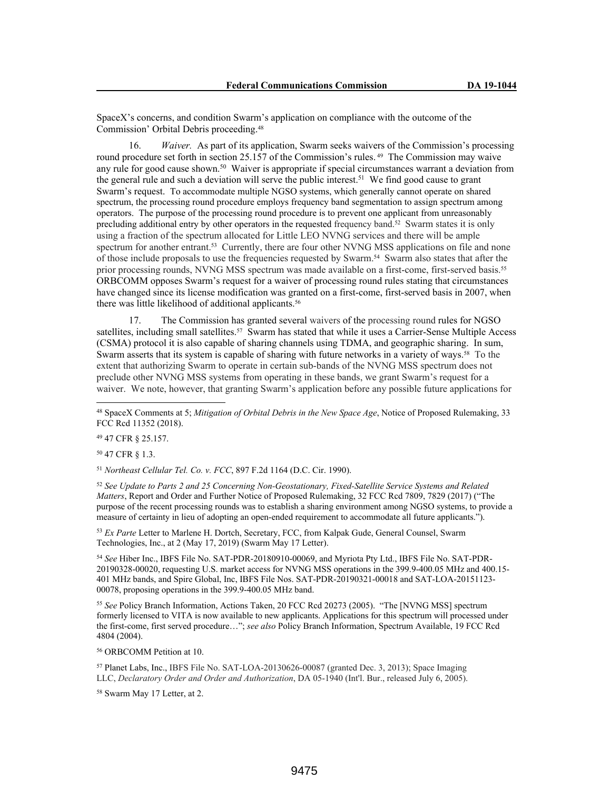SpaceX's concerns, and condition Swarm's application on compliance with the outcome of the Commission' Orbital Debris proceeding.<sup>48</sup>

16. *Waiver.* As part of its application, Swarm seeks waivers of the Commission's processing round procedure set forth in section 25.157 of the Commission's rules. <sup>49</sup> The Commission may waive any rule for good cause shown.<sup>50</sup> Waiver is appropriate if special circumstances warrant a deviation from the general rule and such a deviation will serve the public interest.<sup>51</sup> We find good cause to grant Swarm's request. To accommodate multiple NGSO systems, which generally cannot operate on shared spectrum, the processing round procedure employs frequency band segmentation to assign spectrum among operators. The purpose of the processing round procedure is to prevent one applicant from unreasonably precluding additional entry by other operators in the requested frequency band.<sup>52</sup> Swarm states it is only using a fraction of the spectrum allocated for Little LEO NVNG services and there will be ample spectrum for another entrant.<sup>53</sup> Currently, there are four other NVNG MSS applications on file and none of those include proposals to use the frequencies requested by Swarm.54 Swarm also states that after the prior processing rounds, NVNG MSS spectrum was made available on a first-come, first-served basis.<sup>55</sup> ORBCOMM opposes Swarm's request for a waiver of processing round rules stating that circumstances have changed since its license modification was granted on a first-come, first-served basis in 2007, when there was little likelihood of additional applicants.<sup>56</sup>

17. The Commission has granted several waivers of the processing round rules for NGSO satellites, including small satellites.<sup>57</sup> Swarm has stated that while it uses a Carrier-Sense Multiple Access (CSMA) protocol it is also capable of sharing channels using TDMA, and geographic sharing. In sum, Swarm asserts that its system is capable of sharing with future networks in a variety of ways.<sup>58</sup> To the extent that authorizing Swarm to operate in certain sub-bands of the NVNG MSS spectrum does not preclude other NVNG MSS systems from operating in these bands, we grant Swarm's request for a waiver. We note, however, that granting Swarm's application before any possible future applications for

<sup>49</sup> 47 CFR § 25.157.

<sup>50</sup> 47 CFR § 1.3.

<sup>51</sup> *Northeast Cellular Tel. Co. v. FCC*, 897 F.2d 1164 (D.C. Cir. 1990).

<sup>52</sup> *See Update to Parts 2 and 25 Concerning Non-Geostationary, Fixed-Satellite Service Systems and Related Matters*, Report and Order and Further Notice of Proposed Rulemaking, 32 FCC Rcd 7809, 7829 (2017) ("The purpose of the recent processing rounds was to establish a sharing environment among NGSO systems, to provide a measure of certainty in lieu of adopting an open-ended requirement to accommodate all future applicants.").

<sup>53</sup> *Ex Parte* Letter to Marlene H. Dortch, Secretary, FCC, from Kalpak Gude, General Counsel, Swarm Technologies, Inc., at 2 (May 17, 2019) (Swarm May 17 Letter).

<sup>54</sup> *See* Hiber Inc., IBFS File No. SAT-PDR-20180910-00069, and Myriota Pty Ltd., IBFS File No. SAT-PDR-20190328-00020, requesting U.S. market access for NVNG MSS operations in the 399.9-400.05 MHz and 400.15- 401 MHz bands, and Spire Global, Inc, IBFS File Nos. SAT-PDR-20190321-00018 and SAT-LOA-20151123- 00078, proposing operations in the 399.9-400.05 MHz band.

<sup>55</sup> *See* Policy Branch Information, Actions Taken, 20 FCC Rcd 20273 (2005). "The [NVNG MSS] spectrum formerly licensed to VITA is now available to new applicants. Applications for this spectrum will processed under the first-come, first served procedure…"; *see also* Policy Branch Information, Spectrum Available, 19 FCC Rcd 4804 (2004).

<sup>56</sup> ORBCOMM Petition at 10.

<sup>57</sup> Planet Labs, Inc., IBFS File No. SAT-LOA-20130626-00087 (granted Dec. 3, 2013); Space Imaging LLC, *Declaratory Order and Order and Authorization*, DA 05-1940 (Int'l. Bur., released July 6, 2005).

<sup>58</sup> Swarm May 17 Letter, at 2.

<sup>48</sup> SpaceX Comments at 5; *Mitigation of Orbital Debris in the New Space Age*, Notice of Proposed Rulemaking, 33 FCC Rcd 11352 (2018).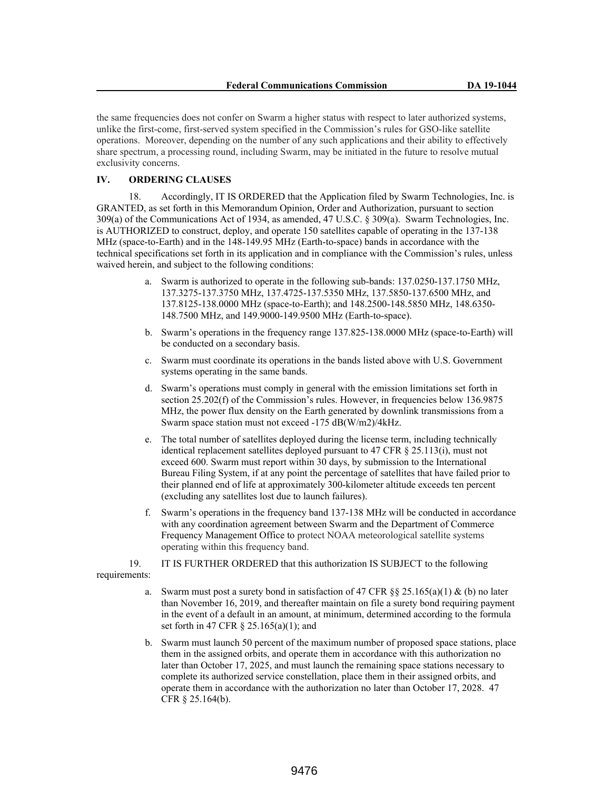the same frequencies does not confer on Swarm a higher status with respect to later authorized systems, unlike the first-come, first-served system specified in the Commission's rules for GSO-like satellite operations. Moreover, depending on the number of any such applications and their ability to effectively share spectrum, a processing round, including Swarm, may be initiated in the future to resolve mutual exclusivity concerns.

# **IV. ORDERING CLAUSES**

18. Accordingly, IT IS ORDERED that the Application filed by Swarm Technologies, Inc. is GRANTED, as set forth in this Memorandum Opinion, Order and Authorization, pursuant to section 309(a) of the Communications Act of 1934, as amended, 47 U.S.C. § 309(a). Swarm Technologies, Inc. is AUTHORIZED to construct, deploy, and operate 150 satellites capable of operating in the 137-138 MHz (space-to-Earth) and in the 148-149.95 MHz (Earth-to-space) bands in accordance with the technical specifications set forth in its application and in compliance with the Commission's rules, unless waived herein, and subject to the following conditions:

- a. Swarm is authorized to operate in the following sub-bands: 137.0250-137.1750 MHz, 137.3275-137.3750 MHz, 137.4725-137.5350 MHz, 137.5850-137.6500 MHz, and 137.8125-138.0000 MHz (space-to-Earth); and 148.2500-148.5850 MHz, 148.6350- 148.7500 MHz, and 149.9000-149.9500 MHz (Earth-to-space).
- b. Swarm's operations in the frequency range 137.825-138.0000 MHz (space-to-Earth) will be conducted on a secondary basis.
- c. Swarm must coordinate its operations in the bands listed above with U.S. Government systems operating in the same bands.
- d. Swarm's operations must comply in general with the emission limitations set forth in section 25.202(f) of the Commission's rules. However, in frequencies below 136.9875 MHz, the power flux density on the Earth generated by downlink transmissions from a Swarm space station must not exceed -175 dB(W/m2)/4kHz.
- e. The total number of satellites deployed during the license term, including technically identical replacement satellites deployed pursuant to 47 CFR § 25.113(i), must not exceed 600. Swarm must report within 30 days, by submission to the International Bureau Filing System, if at any point the percentage of satellites that have failed prior to their planned end of life at approximately 300-kilometer altitude exceeds ten percent (excluding any satellites lost due to launch failures).
- f. Swarm's operations in the frequency band 137-138 MHz will be conducted in accordance with any coordination agreement between Swarm and the Department of Commerce Frequency Management Office to protect NOAA meteorological satellite systems operating within this frequency band.

19. IT IS FURTHER ORDERED that this authorization IS SUBJECT to the following requirements:

- a. Swarm must post a surety bond in satisfaction of 47 CFR  $\S$ § 25.165(a)(1) & (b) no later than November 16, 2019, and thereafter maintain on file a surety bond requiring payment in the event of a default in an amount, at minimum, determined according to the formula set forth in 47 CFR § 25.165(a)(1); and
- b. Swarm must launch 50 percent of the maximum number of proposed space stations, place them in the assigned orbits, and operate them in accordance with this authorization no later than October 17, 2025, and must launch the remaining space stations necessary to complete its authorized service constellation, place them in their assigned orbits, and operate them in accordance with the authorization no later than October 17, 2028. 47 CFR § 25.164(b).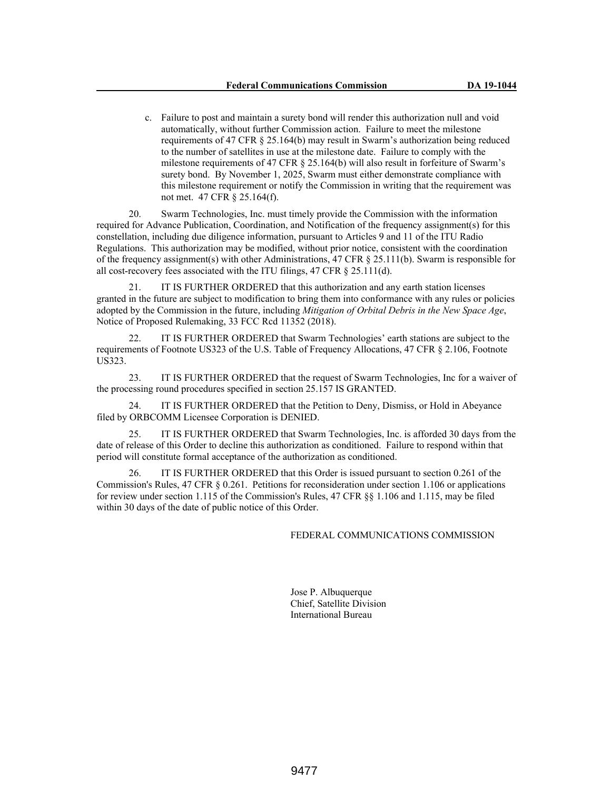c. Failure to post and maintain a surety bond will render this authorization null and void automatically, without further Commission action. Failure to meet the milestone requirements of 47 CFR § 25.164(b) may result in Swarm's authorization being reduced to the number of satellites in use at the milestone date. Failure to comply with the milestone requirements of 47 CFR § 25.164(b) will also result in forfeiture of Swarm's surety bond. By November 1, 2025, Swarm must either demonstrate compliance with this milestone requirement or notify the Commission in writing that the requirement was not met. 47 CFR § 25.164(f).

20. Swarm Technologies, Inc. must timely provide the Commission with the information required for Advance Publication, Coordination, and Notification of the frequency assignment(s) for this constellation, including due diligence information, pursuant to Articles 9 and 11 of the ITU Radio Regulations. This authorization may be modified, without prior notice, consistent with the coordination of the frequency assignment(s) with other Administrations, 47 CFR  $\S$  25.111(b). Swarm is responsible for all cost-recovery fees associated with the ITU filings, 47 CFR § 25.111(d).

21. IT IS FURTHER ORDERED that this authorization and any earth station licenses granted in the future are subject to modification to bring them into conformance with any rules or policies adopted by the Commission in the future, including *Mitigation of Orbital Debris in the New Space Age*, Notice of Proposed Rulemaking, 33 FCC Rcd 11352 (2018).

22. IT IS FURTHER ORDERED that Swarm Technologies' earth stations are subject to the requirements of Footnote US323 of the U.S. Table of Frequency Allocations, 47 CFR § 2.106, Footnote US323.

23. IT IS FURTHER ORDERED that the request of Swarm Technologies, Inc for a waiver of the processing round procedures specified in section 25.157 IS GRANTED.

24. IT IS FURTHER ORDERED that the Petition to Deny, Dismiss, or Hold in Abeyance filed by ORBCOMM Licensee Corporation is DENIED.

25. IT IS FURTHER ORDERED that Swarm Technologies, Inc. is afforded 30 days from the date of release of this Order to decline this authorization as conditioned. Failure to respond within that period will constitute formal acceptance of the authorization as conditioned.

26. IT IS FURTHER ORDERED that this Order is issued pursuant to section 0.261 of the Commission's Rules, 47 CFR § 0.261. Petitions for reconsideration under section 1.106 or applications for review under section 1.115 of the Commission's Rules, 47 CFR §§ 1.106 and 1.115, may be filed within 30 days of the date of public notice of this Order.

## FEDERAL COMMUNICATIONS COMMISSION

Jose P. Albuquerque Chief, Satellite Division International Bureau